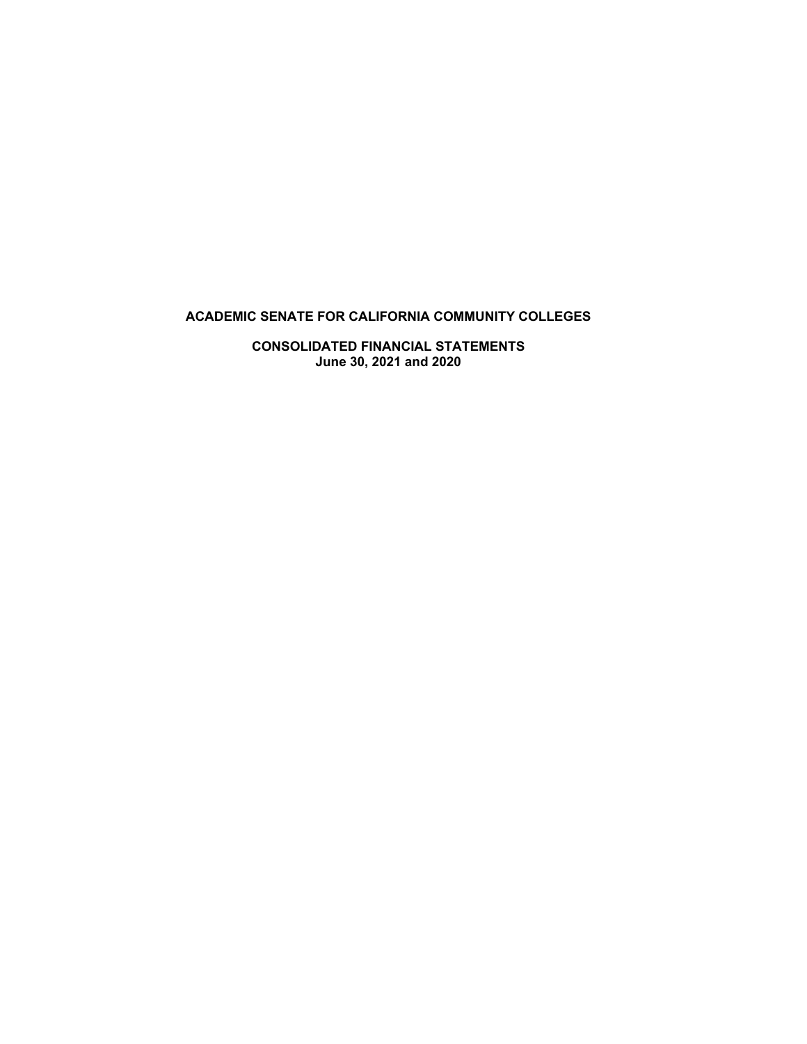**CONSOLIDATED FINANCIAL STATEMENTS June 30, 2021 and 2020**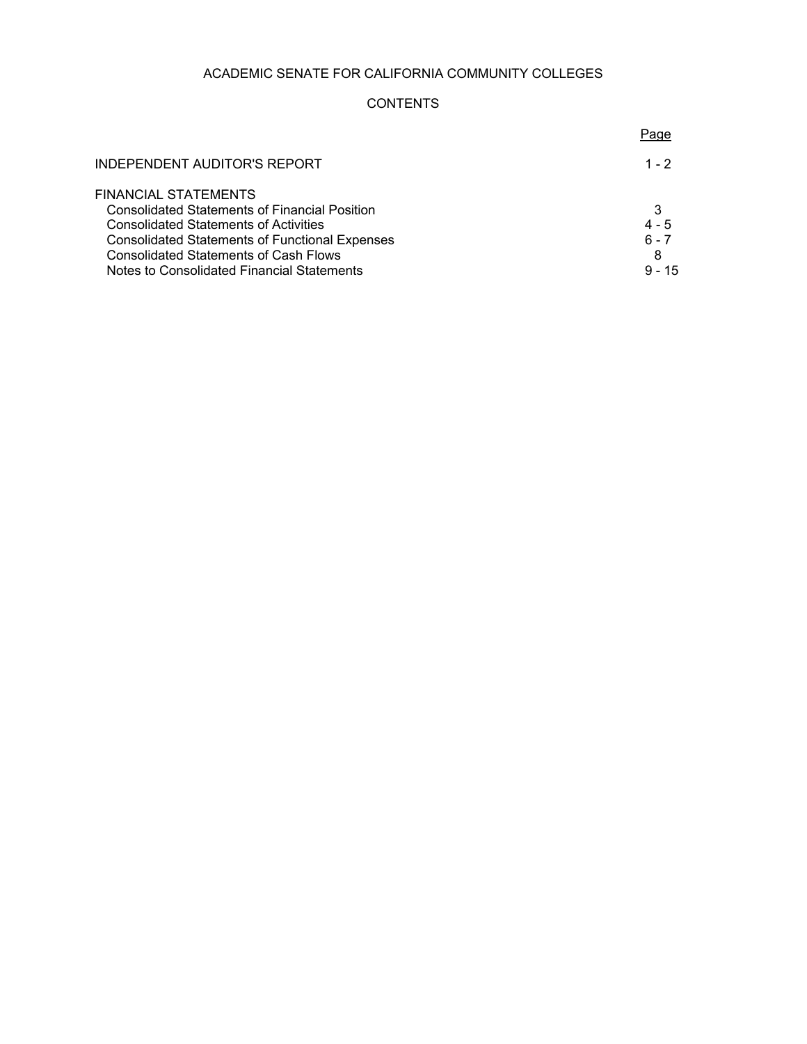# CONTENTS

| INDEPENDENT AUDITOR'S REPORT                          | $1 - 2$  |
|-------------------------------------------------------|----------|
| <b>FINANCIAL STATEMENTS</b>                           |          |
| <b>Consolidated Statements of Financial Position</b>  | 3        |
| <b>Consolidated Statements of Activities</b>          | $4 - 5$  |
| <b>Consolidated Statements of Functional Expenses</b> | $6 - 7$  |
| <b>Consolidated Statements of Cash Flows</b>          | 8        |
| Notes to Consolidated Financial Statements            | $9 - 15$ |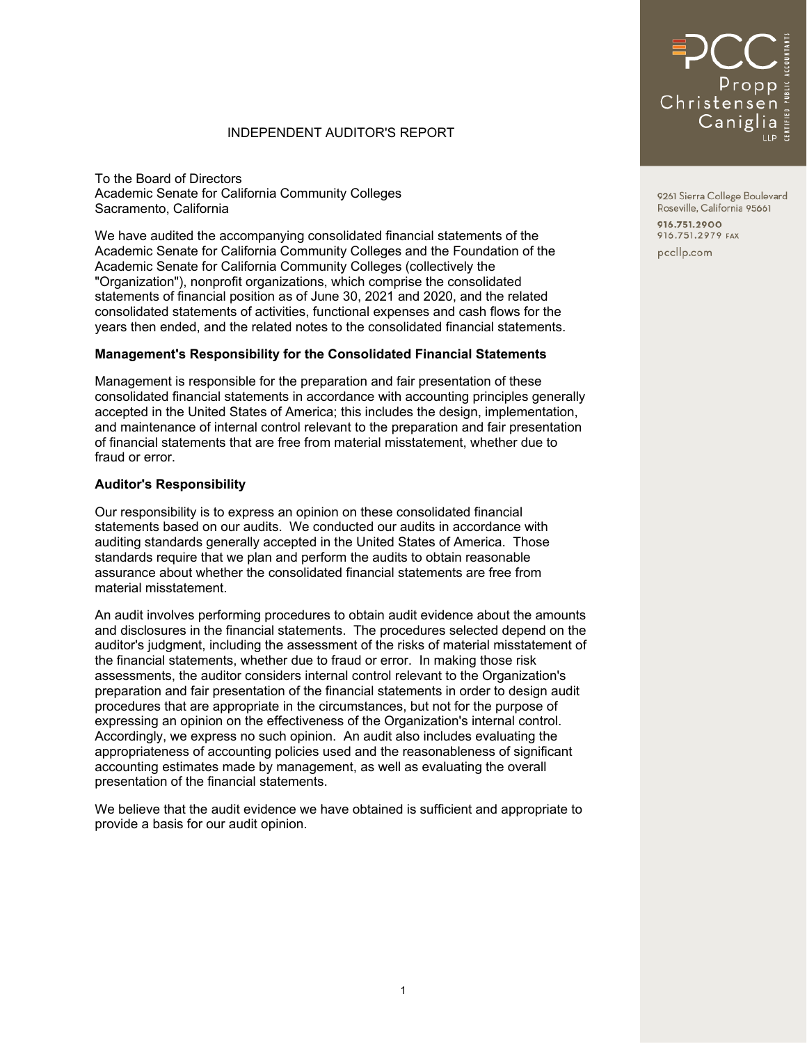# INDEPENDENT AUDITOR'S REPORT

To the Board of Directors Academic Senate for California Community Colleges Sacramento, California

We have audited the accompanying consolidated financial statements of the Academic Senate for California Community Colleges and the Foundation of the Academic Senate for California Community Colleges (collectively the "Organization"), nonprofit organizations, which comprise the consolidated statements of financial position as of June 30, 2021 and 2020, and the related consolidated statements of activities, functional expenses and cash flows for the years then ended, and the related notes to the consolidated financial statements.

# **Management's Responsibility for the Consolidated Financial Statements**

Management is responsible for the preparation and fair presentation of these consolidated financial statements in accordance with accounting principles generally accepted in the United States of America; this includes the design, implementation, and maintenance of internal control relevant to the preparation and fair presentation of financial statements that are free from material misstatement, whether due to fraud or error.

# **Auditor's Responsibility**

Our responsibility is to express an opinion on these consolidated financial statements based on our audits. We conducted our audits in accordance with auditing standards generally accepted in the United States of America. Those standards require that we plan and perform the audits to obtain reasonable assurance about whether the consolidated financial statements are free from material misstatement.

An audit involves performing procedures to obtain audit evidence about the amounts and disclosures in the financial statements. The procedures selected depend on the auditor's judgment, including the assessment of the risks of material misstatement of the financial statements, whether due to fraud or error. In making those risk assessments, the auditor considers internal control relevant to the Organization's preparation and fair presentation of the financial statements in order to design audit procedures that are appropriate in the circumstances, but not for the purpose of expressing an opinion on the effectiveness of the Organization's internal control. Accordingly, we express no such opinion. An audit also includes evaluating the appropriateness of accounting policies used and the reasonableness of significant accounting estimates made by management, as well as evaluating the overall presentation of the financial statements.

We believe that the audit evidence we have obtained is sufficient and appropriate to provide a basis for our audit opinion.

# Christens Caniglia

9261 Sierra College Boulevard Roseville, California 95661 916.751.2900 916.751.2979 FAX

pccllp.com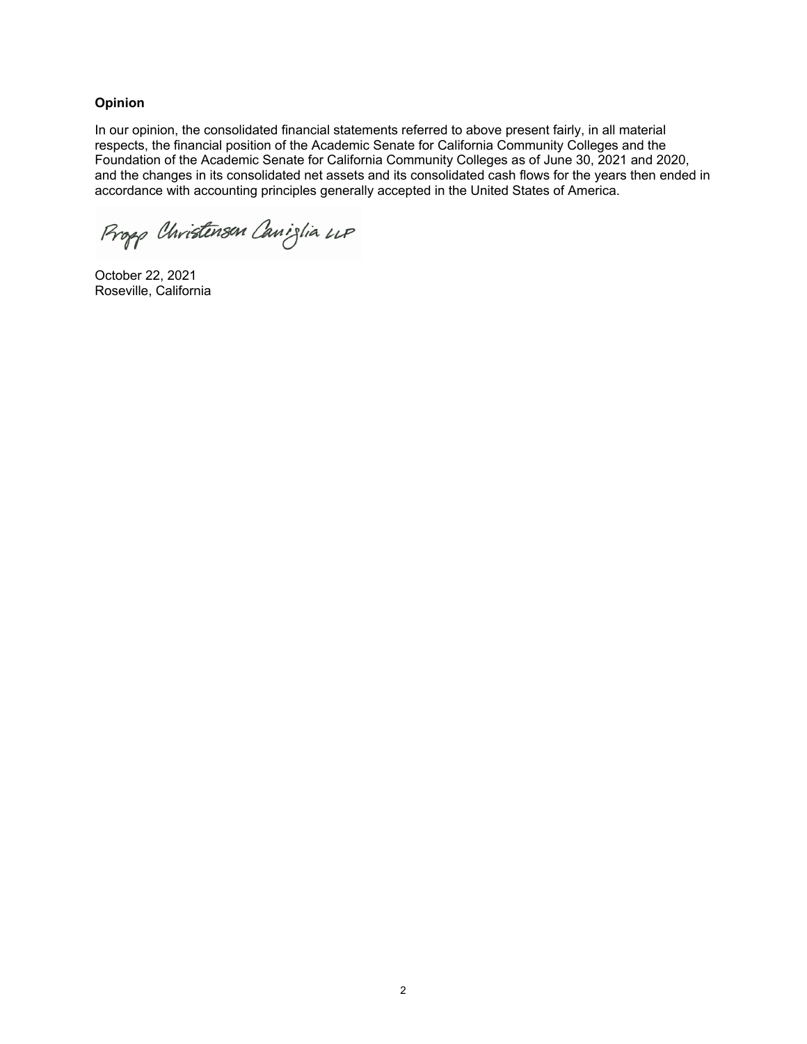#### **Opinion**

In our opinion, the consolidated financial statements referred to above present fairly, in all material respects, the financial position of the Academic Senate for California Community Colleges and the Foundation of the Academic Senate for California Community Colleges as of June 30, 2021 and 2020, and the changes in its consolidated net assets and its consolidated cash flows for the years then ended in accordance with accounting principles generally accepted in the United States of America.

Propp Christensen Caniglia LLP

October 22, 2021 Roseville, California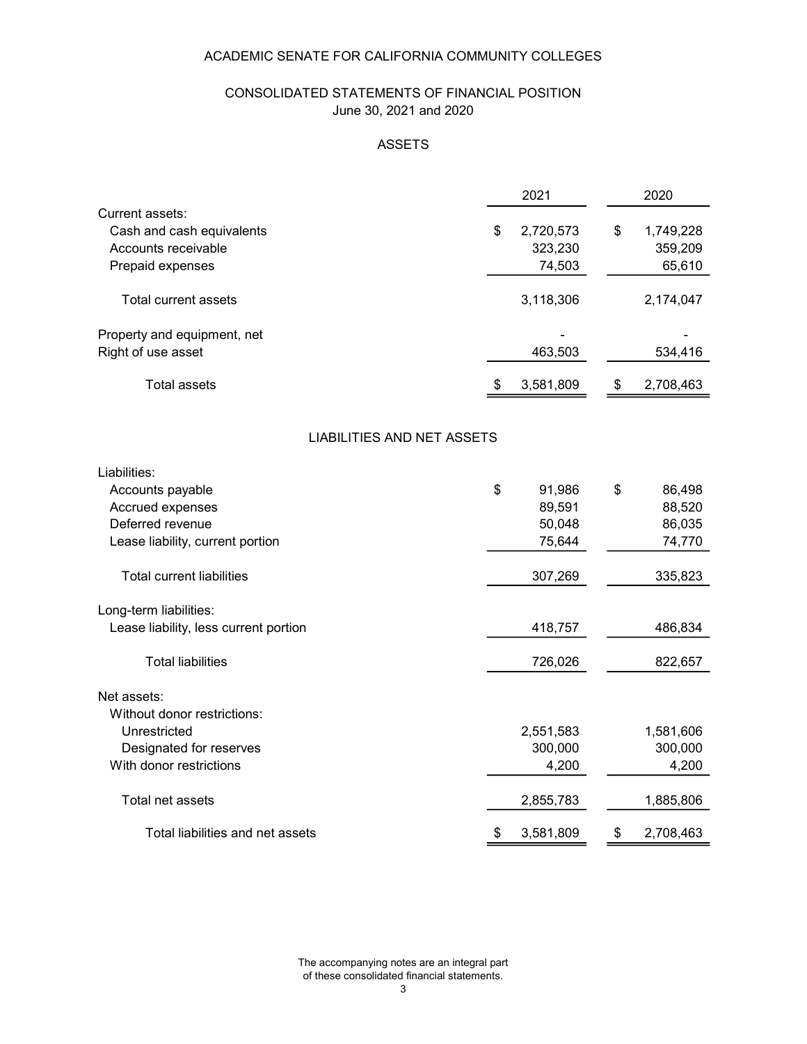# CONSOLIDATED STATEMENTS OF FINANCIAL POSITION June 30, 2021 and 2020

## ASSETS

|                                                                                         | 2021                                 | 2020                                 |
|-----------------------------------------------------------------------------------------|--------------------------------------|--------------------------------------|
| Current assets:<br>Cash and cash equivalents<br>Accounts receivable<br>Prepaid expenses | \$<br>2,720,573<br>323,230<br>74,503 | \$<br>1,749,228<br>359,209<br>65,610 |
| Total current assets                                                                    | 3,118,306                            | 2,174,047                            |
| Property and equipment, net<br>Right of use asset                                       | 463,503                              | 534,416                              |
| <b>Total assets</b>                                                                     | \$<br>3,581,809                      | \$<br>2,708,463                      |
| <b>LIABILITIES AND NET ASSETS</b>                                                       |                                      |                                      |
| Liabilities:                                                                            |                                      |                                      |
| Accounts payable                                                                        | \$<br>91,986                         | \$<br>86,498                         |
| Accrued expenses                                                                        | 89,591                               | 88,520                               |
| Deferred revenue                                                                        | 50,048                               | 86,035                               |
| Lease liability, current portion                                                        | 75,644                               | 74,770                               |
| <b>Total current liabilities</b>                                                        | 307,269                              | 335,823                              |
| Long-term liabilities:                                                                  |                                      |                                      |
| Lease liability, less current portion                                                   | 418,757                              | 486,834                              |
| <b>Total liabilities</b>                                                                | 726,026                              | 822,657                              |
| Net assets:<br>Without donor restrictions:                                              |                                      |                                      |
| Unrestricted                                                                            | 2,551,583                            | 1,581,606                            |
| Designated for reserves                                                                 | 300,000                              | 300,000                              |
| With donor restrictions                                                                 | 4,200                                | 4,200                                |
| Total net assets                                                                        | 2,855,783                            | 1,885,806                            |
| Total liabilities and net assets                                                        | \$<br>3,581,809                      | \$<br>2,708,463                      |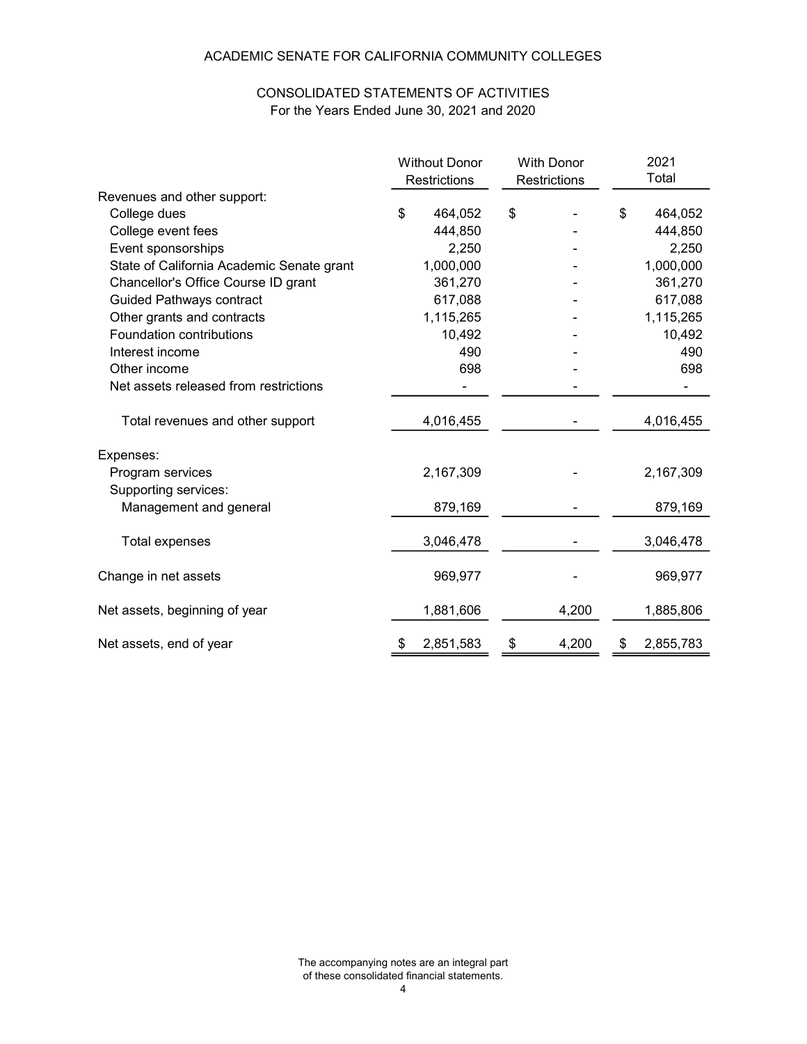# CONSOLIDATED STATEMENTS OF ACTIVITIES For the Years Ended June 30, 2021 and 2020

|                                           | <b>Without Donor</b> |                     |              | <b>With Donor</b> |    | 2021      |  |
|-------------------------------------------|----------------------|---------------------|--------------|-------------------|----|-----------|--|
|                                           |                      | <b>Restrictions</b> | Restrictions |                   |    | Total     |  |
| Revenues and other support:               |                      |                     |              |                   |    |           |  |
| College dues                              | \$                   | 464,052             | \$           |                   | \$ | 464,052   |  |
| College event fees                        |                      | 444,850             |              |                   |    | 444,850   |  |
| Event sponsorships                        |                      | 2,250               |              |                   |    | 2,250     |  |
| State of California Academic Senate grant |                      | 1,000,000           |              |                   |    | 1,000,000 |  |
| Chancellor's Office Course ID grant       |                      | 361,270             |              |                   |    | 361,270   |  |
| <b>Guided Pathways contract</b>           |                      | 617,088             |              |                   |    | 617,088   |  |
| Other grants and contracts                |                      | 1,115,265           |              |                   |    | 1,115,265 |  |
| Foundation contributions                  |                      | 10,492              |              |                   |    | 10,492    |  |
| Interest income                           |                      | 490                 |              |                   |    | 490       |  |
| Other income                              |                      | 698                 |              |                   |    | 698       |  |
| Net assets released from restrictions     |                      |                     |              |                   |    |           |  |
| Total revenues and other support          |                      | 4,016,455           |              |                   |    | 4,016,455 |  |
| Expenses:                                 |                      |                     |              |                   |    |           |  |
| Program services                          |                      | 2,167,309           |              |                   |    | 2,167,309 |  |
| Supporting services:                      |                      |                     |              |                   |    |           |  |
| Management and general                    |                      | 879,169             |              |                   |    | 879,169   |  |
| Total expenses                            |                      | 3,046,478           |              |                   |    | 3,046,478 |  |
| Change in net assets                      |                      | 969,977             |              |                   |    | 969,977   |  |
| Net assets, beginning of year             |                      | 1,881,606           |              | 4,200             |    | 1,885,806 |  |
| Net assets, end of year                   | \$                   | 2,851,583           | \$           | 4,200             | \$ | 2,855,783 |  |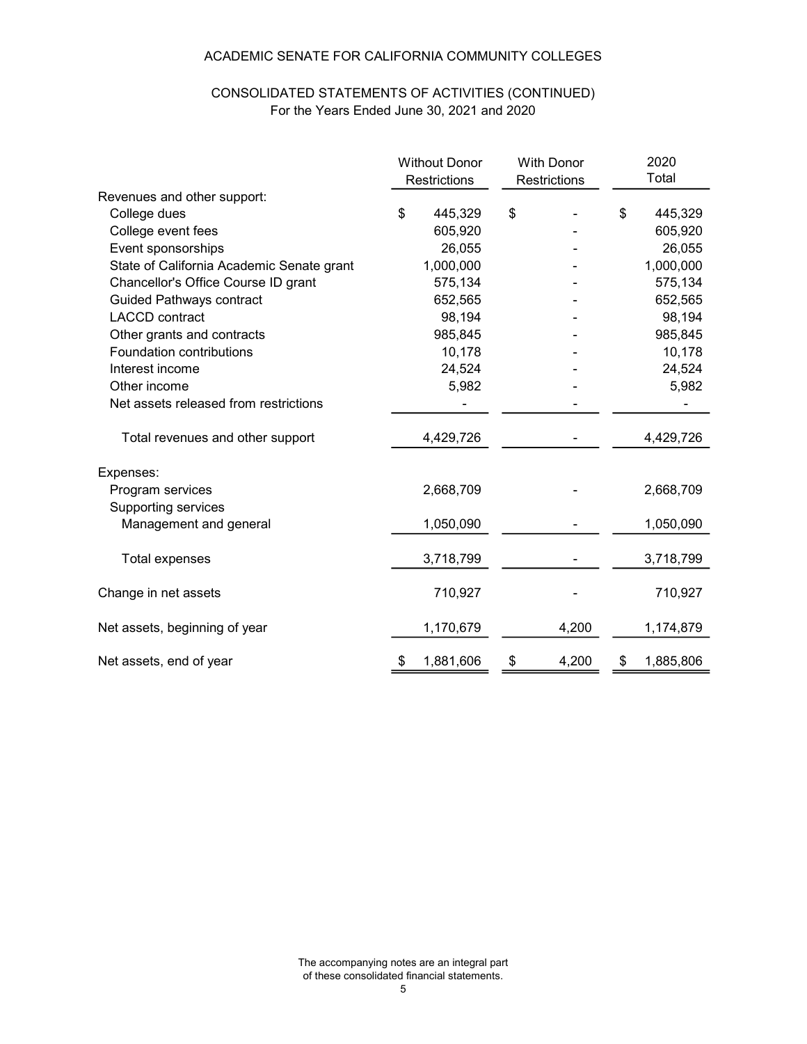# CONSOLIDATED STATEMENTS OF ACTIVITIES (CONTINUED) For the Years Ended June 30, 2021 and 2020

|                                           | <b>Without Donor</b><br><b>Restrictions</b> | <b>With Donor</b><br>Restrictions |       |    |           |  |  | 2020<br>Total |
|-------------------------------------------|---------------------------------------------|-----------------------------------|-------|----|-----------|--|--|---------------|
| Revenues and other support:               |                                             |                                   |       |    |           |  |  |               |
| College dues                              | \$<br>445,329                               | \$                                |       | \$ | 445,329   |  |  |               |
| College event fees                        | 605,920                                     |                                   |       |    | 605,920   |  |  |               |
| Event sponsorships                        | 26,055                                      |                                   |       |    | 26,055    |  |  |               |
| State of California Academic Senate grant | 1,000,000                                   |                                   |       |    | 1,000,000 |  |  |               |
| Chancellor's Office Course ID grant       | 575,134                                     |                                   |       |    | 575,134   |  |  |               |
| <b>Guided Pathways contract</b>           | 652,565                                     |                                   |       |    | 652,565   |  |  |               |
| <b>LACCD</b> contract                     | 98,194                                      |                                   |       |    | 98,194    |  |  |               |
| Other grants and contracts                | 985,845                                     |                                   |       |    | 985,845   |  |  |               |
| Foundation contributions                  | 10,178                                      |                                   |       |    | 10,178    |  |  |               |
| Interest income                           | 24,524                                      |                                   |       |    | 24,524    |  |  |               |
| Other income                              | 5,982                                       |                                   |       |    | 5,982     |  |  |               |
| Net assets released from restrictions     |                                             |                                   |       |    |           |  |  |               |
| Total revenues and other support          | 4,429,726                                   |                                   |       |    | 4,429,726 |  |  |               |
| Expenses:                                 |                                             |                                   |       |    |           |  |  |               |
| Program services                          | 2,668,709                                   |                                   |       |    | 2,668,709 |  |  |               |
| Supporting services                       |                                             |                                   |       |    |           |  |  |               |
| Management and general                    | 1,050,090                                   |                                   |       |    | 1,050,090 |  |  |               |
| <b>Total expenses</b>                     | 3,718,799                                   |                                   |       |    | 3,718,799 |  |  |               |
| Change in net assets                      | 710,927                                     |                                   |       |    | 710,927   |  |  |               |
| Net assets, beginning of year             | 1,170,679                                   |                                   | 4,200 |    | 1,174,879 |  |  |               |
| Net assets, end of year                   | \$<br>1,881,606                             | \$                                | 4,200 | \$ | 1,885,806 |  |  |               |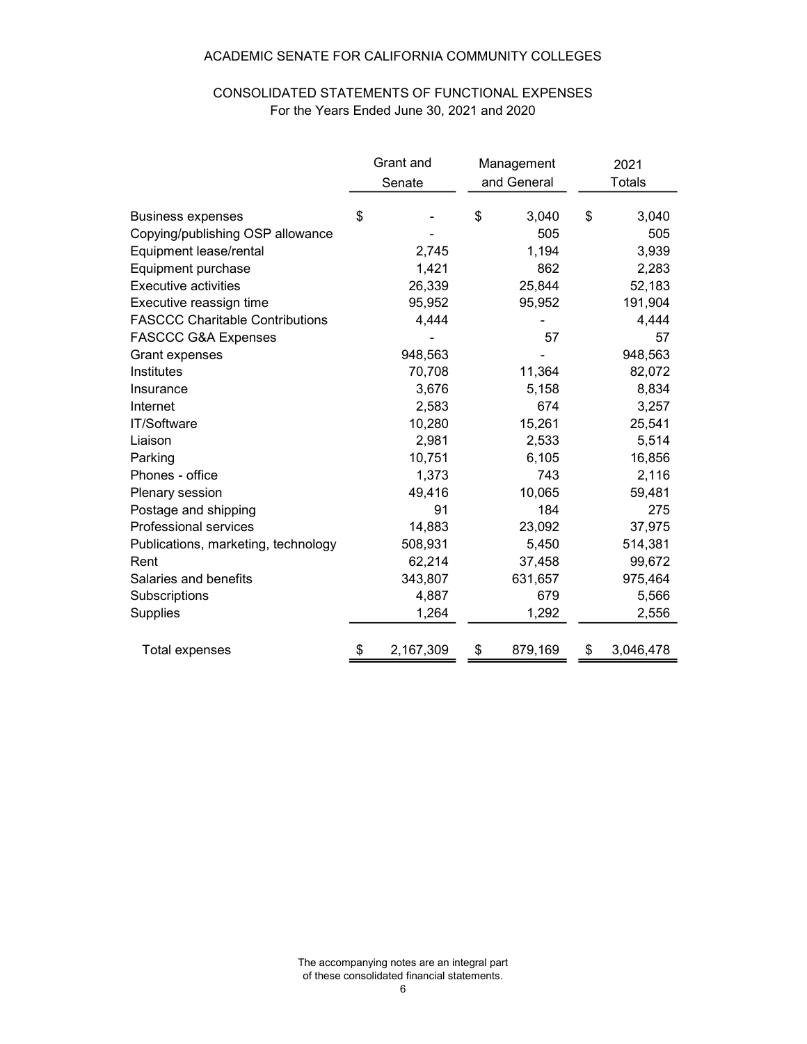# For the Years Ended June 30, 2021 and 2020 CONSOLIDATED STATEMENTS OF FUNCTIONAL EXPENSES

|                                        | Grant and |           | Management<br>and General |    | 2021          |  |
|----------------------------------------|-----------|-----------|---------------------------|----|---------------|--|
|                                        |           | Senate    |                           |    | <b>Totals</b> |  |
| <b>Business expenses</b>               | \$        |           | \$<br>3,040               | \$ | 3,040         |  |
| Copying/publishing OSP allowance       |           |           | 505                       |    | 505           |  |
| Equipment lease/rental                 |           | 2,745     | 1,194                     |    | 3,939         |  |
| Equipment purchase                     |           | 1,421     | 862                       |    | 2,283         |  |
| <b>Executive activities</b>            |           | 26,339    | 25,844                    |    | 52,183        |  |
| Executive reassign time                |           | 95,952    | 95,952                    |    | 191,904       |  |
| <b>FASCCC Charitable Contributions</b> |           | 4,444     |                           |    | 4,444         |  |
| <b>FASCCC G&amp;A Expenses</b>         |           |           | 57                        |    | 57            |  |
| Grant expenses                         |           | 948,563   |                           |    | 948,563       |  |
| Institutes                             |           | 70,708    | 11,364                    |    | 82,072        |  |
| Insurance                              |           | 3,676     | 5,158                     |    | 8,834         |  |
| Internet                               |           | 2,583     | 674                       |    | 3,257         |  |
| IT/Software                            |           | 10,280    | 15,261                    |    | 25,541        |  |
| Liaison                                |           | 2,981     | 2,533                     |    | 5,514         |  |
| Parking                                |           | 10,751    | 6,105                     |    | 16,856        |  |
| Phones - office                        |           | 1,373     | 743                       |    | 2,116         |  |
| Plenary session                        |           | 49,416    | 10,065                    |    | 59,481        |  |
| Postage and shipping                   |           | 91        | 184                       |    | 275           |  |
| Professional services                  |           | 14,883    | 23,092                    |    | 37,975        |  |
| Publications, marketing, technology    |           | 508,931   | 5,450                     |    | 514,381       |  |
| Rent                                   |           | 62,214    | 37,458                    |    | 99,672        |  |
| Salaries and benefits                  |           | 343,807   | 631,657                   |    | 975,464       |  |
| Subscriptions                          |           | 4,887     | 679                       |    | 5,566         |  |
| Supplies                               |           | 1,264     | 1,292                     |    | 2,556         |  |
| Total expenses                         | \$        | 2,167,309 | \$<br>879,169             | \$ | 3,046,478     |  |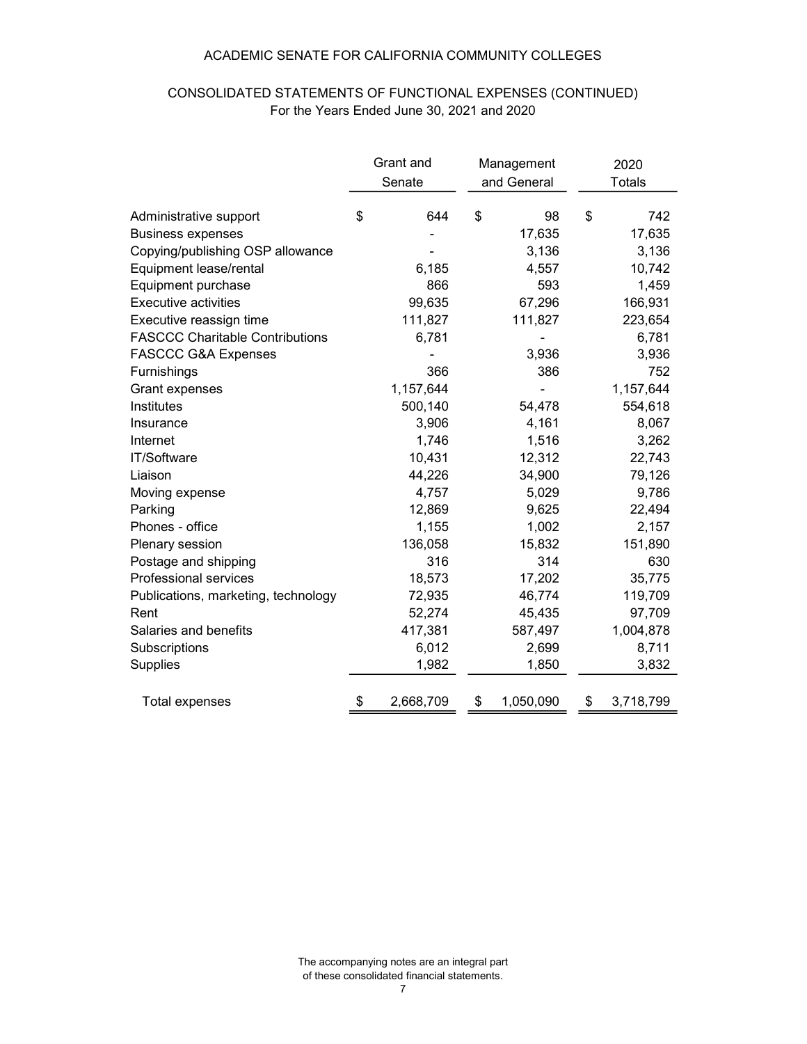# CONSOLIDATED STATEMENTS OF FUNCTIONAL EXPENSES (CONTINUED) For the Years Ended June 30, 2021 and 2020

|                                        | Grant and |           |    | Management  | 2020 |               |
|----------------------------------------|-----------|-----------|----|-------------|------|---------------|
|                                        |           | Senate    |    | and General |      | <b>Totals</b> |
| Administrative support                 | \$        | 644       | \$ | 98          | \$   | 742           |
| <b>Business expenses</b>               |           |           |    | 17,635      |      | 17,635        |
| Copying/publishing OSP allowance       |           |           |    | 3,136       |      | 3,136         |
| Equipment lease/rental                 |           | 6,185     |    | 4,557       |      | 10,742        |
| Equipment purchase                     |           | 866       |    | 593         |      | 1,459         |
| <b>Executive activities</b>            |           | 99,635    |    | 67,296      |      | 166,931       |
| Executive reassign time                |           | 111,827   |    | 111,827     |      | 223,654       |
| <b>FASCCC Charitable Contributions</b> |           | 6,781     |    |             |      | 6,781         |
| <b>FASCCC G&amp;A Expenses</b>         |           |           |    | 3,936       |      | 3,936         |
| Furnishings                            |           | 366       |    | 386         |      | 752           |
| <b>Grant expenses</b>                  |           | 1,157,644 |    |             |      | 1,157,644     |
| Institutes                             |           | 500,140   |    | 54,478      |      | 554,618       |
| Insurance                              |           | 3,906     |    | 4,161       |      | 8,067         |
| Internet                               |           | 1,746     |    | 1,516       |      | 3,262         |
| IT/Software                            |           | 10,431    |    | 12,312      |      | 22,743        |
| Liaison                                |           | 44,226    |    | 34,900      |      | 79,126        |
| Moving expense                         |           | 4,757     |    | 5,029       |      | 9,786         |
| Parking                                |           | 12,869    |    | 9,625       |      | 22,494        |
| Phones - office                        |           | 1,155     |    | 1,002       |      | 2,157         |
| Plenary session                        |           | 136,058   |    | 15,832      |      | 151,890       |
| Postage and shipping                   |           | 316       |    | 314         |      | 630           |
| Professional services                  |           | 18,573    |    | 17,202      |      | 35,775        |
| Publications, marketing, technology    |           | 72,935    |    | 46,774      |      | 119,709       |
| Rent                                   |           | 52,274    |    | 45,435      |      | 97,709        |
| Salaries and benefits                  |           | 417,381   |    | 587,497     |      | 1,004,878     |
| Subscriptions                          |           | 6,012     |    | 2,699       |      | 8,711         |
| Supplies                               |           | 1,982     |    | 1,850       |      | 3,832         |
| Total expenses                         | \$        | 2,668,709 | \$ | 1,050,090   | \$   | 3,718,799     |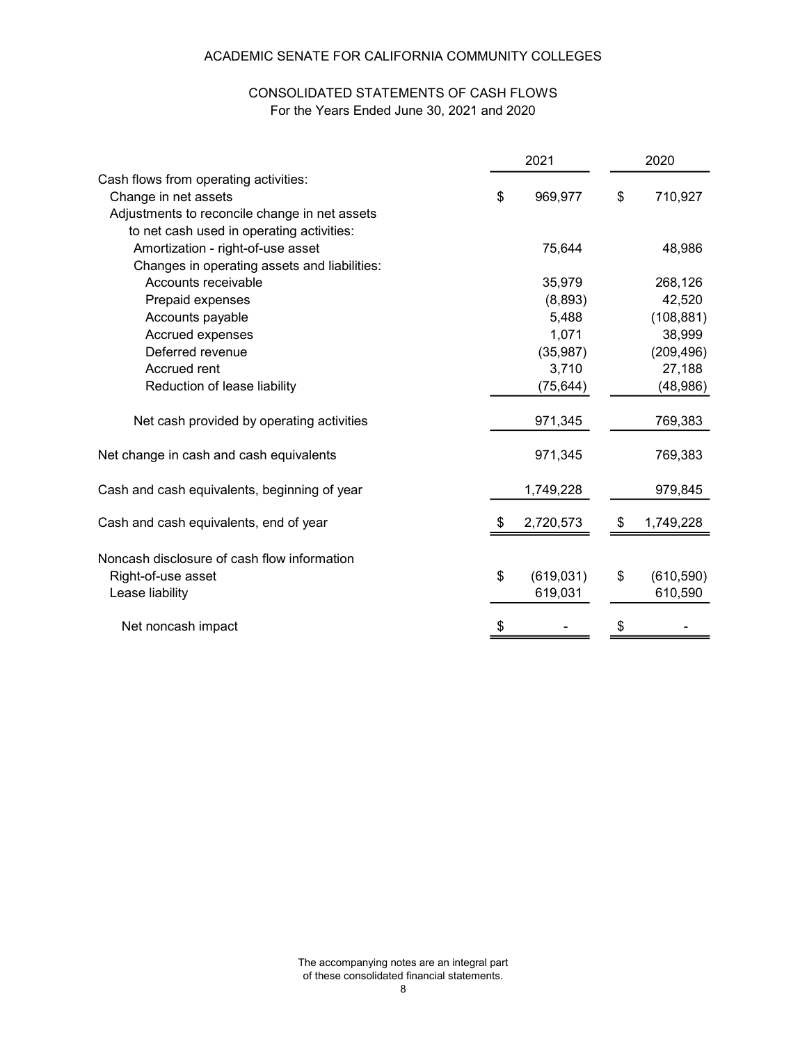# For the Years Ended June 30, 2021 and 2020 CONSOLIDATED STATEMENTS OF CASH FLOWS

|                                               | 2021 |            | 2020 |            |
|-----------------------------------------------|------|------------|------|------------|
| Cash flows from operating activities:         |      |            |      |            |
| Change in net assets                          | \$   | 969,977    | \$   | 710,927    |
| Adjustments to reconcile change in net assets |      |            |      |            |
| to net cash used in operating activities:     |      |            |      |            |
| Amortization - right-of-use asset             |      | 75,644     |      | 48,986     |
| Changes in operating assets and liabilities:  |      |            |      |            |
| Accounts receivable                           |      | 35,979     |      | 268,126    |
| Prepaid expenses                              |      | (8,893)    |      | 42,520     |
| Accounts payable                              |      | 5,488      |      | (108, 881) |
| Accrued expenses                              |      | 1,071      |      | 38,999     |
| Deferred revenue                              |      | (35, 987)  |      | (209, 496) |
| Accrued rent                                  |      | 3,710      |      | 27,188     |
| Reduction of lease liability                  |      | (75, 644)  |      | (48, 986)  |
| Net cash provided by operating activities     |      | 971,345    |      | 769,383    |
| Net change in cash and cash equivalents       |      | 971,345    |      | 769,383    |
| Cash and cash equivalents, beginning of year  |      | 1,749,228  |      | 979,845    |
| Cash and cash equivalents, end of year        |      | 2,720,573  |      | 1,749,228  |
| Noncash disclosure of cash flow information   |      |            |      |            |
| Right-of-use asset                            | \$   | (619, 031) | \$   | (610, 590) |
| Lease liability                               |      | 619,031    |      | 610,590    |
| Net noncash impact                            | \$   |            | \$   |            |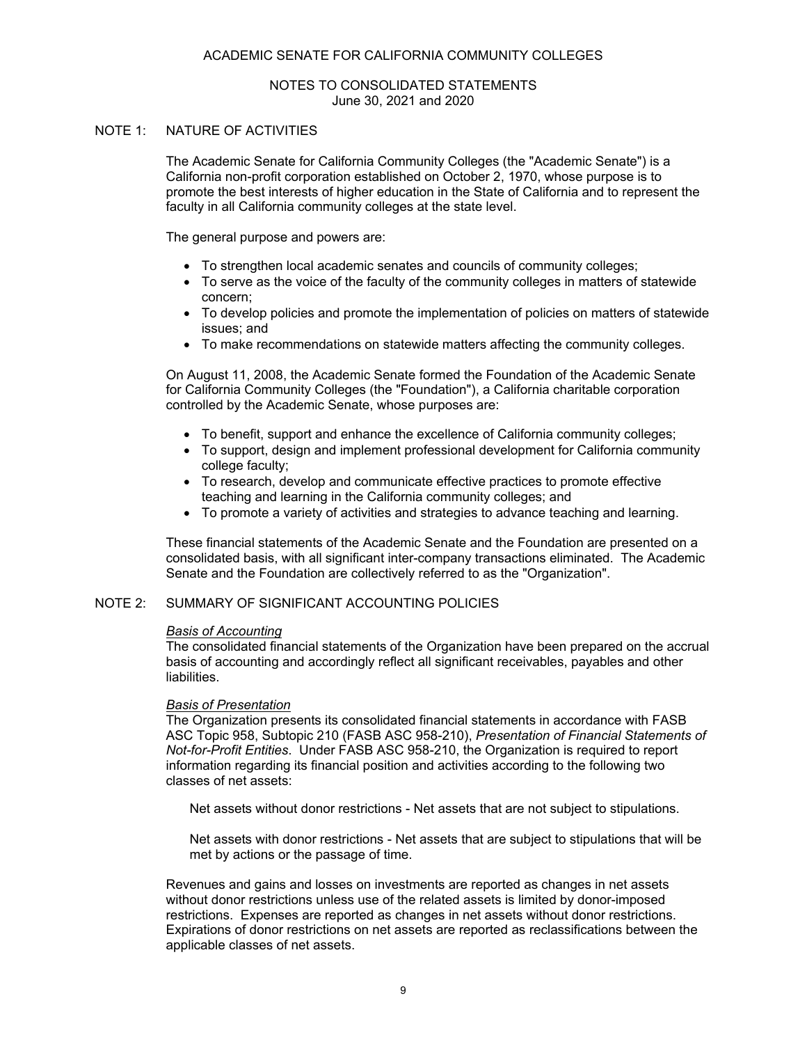# NOTE 1: NATURE OF ACTIVITIES

The Academic Senate for California Community Colleges (the "Academic Senate") is a California non-profit corporation established on October 2, 1970, whose purpose is to promote the best interests of higher education in the State of California and to represent the faculty in all California community colleges at the state level.

The general purpose and powers are:

- To strengthen local academic senates and councils of community colleges;
- To serve as the voice of the faculty of the community colleges in matters of statewide concern;
- To develop policies and promote the implementation of policies on matters of statewide issues; and
- To make recommendations on statewide matters affecting the community colleges.

On August 11, 2008, the Academic Senate formed the Foundation of the Academic Senate for California Community Colleges (the "Foundation"), a California charitable corporation controlled by the Academic Senate, whose purposes are:

- To benefit, support and enhance the excellence of California community colleges;
- To support, design and implement professional development for California community college faculty;
- To research, develop and communicate effective practices to promote effective teaching and learning in the California community colleges; and
- To promote a variety of activities and strategies to advance teaching and learning.

These financial statements of the Academic Senate and the Foundation are presented on a consolidated basis, with all significant inter-company transactions eliminated. The Academic Senate and the Foundation are collectively referred to as the "Organization".

## NOTE 2: SUMMARY OF SIGNIFICANT ACCOUNTING POLICIES

#### *Basis of Accounting*

The consolidated financial statements of the Organization have been prepared on the accrual basis of accounting and accordingly reflect all significant receivables, payables and other liabilities.

#### *Basis of Presentation*

The Organization presents its consolidated financial statements in accordance with FASB ASC Topic 958, Subtopic 210 (FASB ASC 958-210), *Presentation of Financial Statements of Not-for-Profit Entities*. Under FASB ASC 958-210, the Organization is required to report information regarding its financial position and activities according to the following two classes of net assets:

Net assets without donor restrictions - Net assets that are not subject to stipulations.

Net assets with donor restrictions - Net assets that are subject to stipulations that will be met by actions or the passage of time.

Revenues and gains and losses on investments are reported as changes in net assets without donor restrictions unless use of the related assets is limited by donor-imposed restrictions. Expenses are reported as changes in net assets without donor restrictions. Expirations of donor restrictions on net assets are reported as reclassifications between the applicable classes of net assets.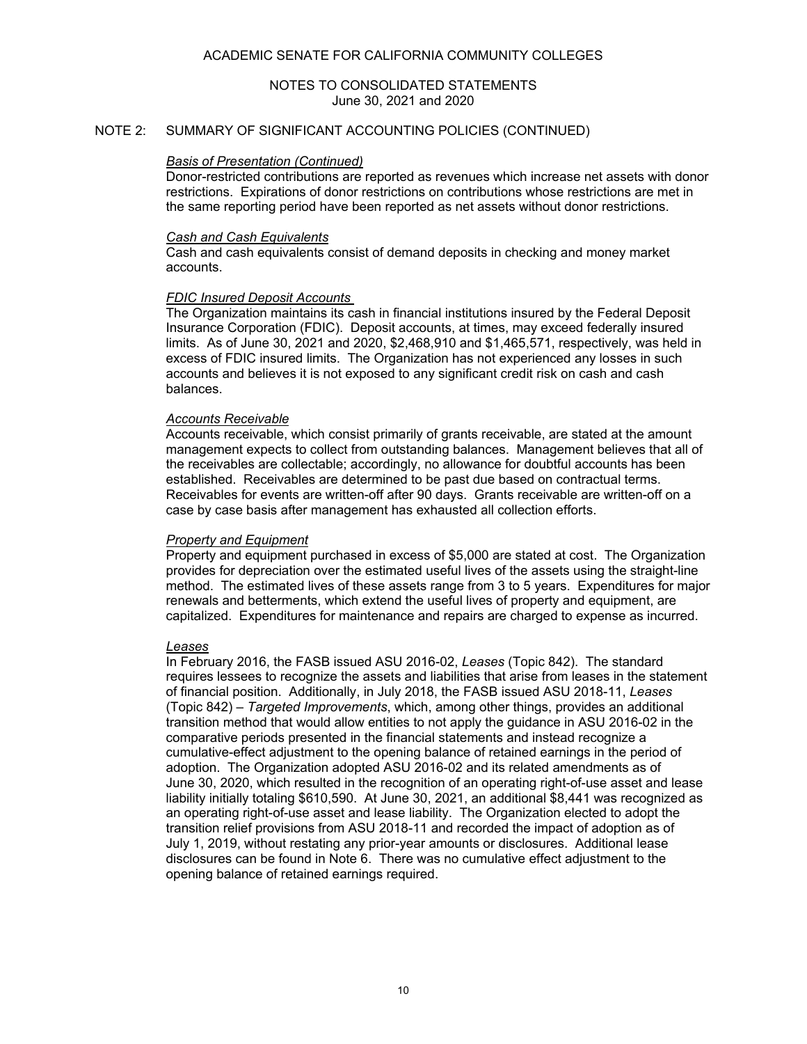#### NOTE 2: SUMMARY OF SIGNIFICANT ACCOUNTING POLICIES (CONTINUED)

#### *Basis of Presentation (Continued)*

Donor-restricted contributions are reported as revenues which increase net assets with donor restrictions. Expirations of donor restrictions on contributions whose restrictions are met in the same reporting period have been reported as net assets without donor restrictions.

#### *Cash and Cash Equivalents*

Cash and cash equivalents consist of demand deposits in checking and money market accounts.

#### *FDIC Insured Deposit Accounts*

The Organization maintains its cash in financial institutions insured by the Federal Deposit Insurance Corporation (FDIC). Deposit accounts, at times, may exceed federally insured limits. As of June 30, 2021 and 2020, \$2,468,910 and \$1,465,571, respectively, was held in excess of FDIC insured limits. The Organization has not experienced any losses in such accounts and believes it is not exposed to any significant credit risk on cash and cash balances.

#### *Accounts Receivable*

Accounts receivable, which consist primarily of grants receivable, are stated at the amount management expects to collect from outstanding balances. Management believes that all of the receivables are collectable; accordingly, no allowance for doubtful accounts has been established. Receivables are determined to be past due based on contractual terms. Receivables for events are written-off after 90 days. Grants receivable are written-off on a case by case basis after management has exhausted all collection efforts.

## *Property and Equipment*

 Property and equipment purchased in excess of \$5,000 are stated at cost. The Organization provides for depreciation over the estimated useful lives of the assets using the straight-line method. The estimated lives of these assets range from 3 to 5 years. Expenditures for major renewals and betterments, which extend the useful lives of property and equipment, are capitalized. Expenditures for maintenance and repairs are charged to expense as incurred.

#### *Leases*

In February 2016, the FASB issued ASU 2016-02, *Leases* (Topic 842). The standard requires lessees to recognize the assets and liabilities that arise from leases in the statement of financial position. Additionally, in July 2018, the FASB issued ASU 2018-11, *Leases* (Topic 842) – *Targeted Improvements*, which, among other things, provides an additional transition method that would allow entities to not apply the guidance in ASU 2016-02 in the comparative periods presented in the financial statements and instead recognize a cumulative-effect adjustment to the opening balance of retained earnings in the period of adoption. The Organization adopted ASU 2016-02 and its related amendments as of June 30, 2020, which resulted in the recognition of an operating right-of-use asset and lease liability initially totaling \$610,590. At June 30, 2021, an additional \$8,441 was recognized as an operating right-of-use asset and lease liability. The Organization elected to adopt the transition relief provisions from ASU 2018-11 and recorded the impact of adoption as of July 1, 2019, without restating any prior-year amounts or disclosures. Additional lease disclosures can be found in Note 6. There was no cumulative effect adjustment to the opening balance of retained earnings required.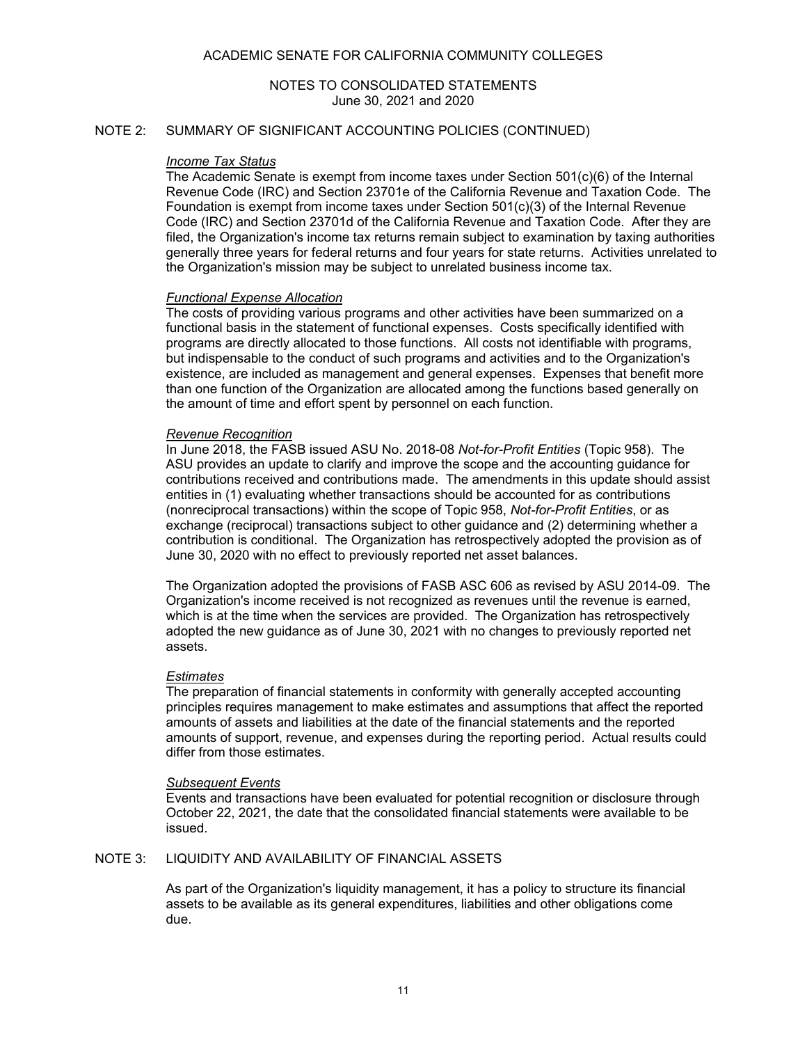NOTES TO CONSOLIDATED STATEMENTS June 30, 2021 and 2020

## NOTE 2: SUMMARY OF SIGNIFICANT ACCOUNTING POLICIES (CONTINUED)

#### *Income Tax Status*

The Academic Senate is exempt from income taxes under Section 501(c)(6) of the Internal Revenue Code (IRC) and Section 23701e of the California Revenue and Taxation Code. The Foundation is exempt from income taxes under Section  $501(c)(3)$  of the Internal Revenue Code (IRC) and Section 23701d of the California Revenue and Taxation Code. After they are filed, the Organization's income tax returns remain subject to examination by taxing authorities generally three years for federal returns and four years for state returns. Activities unrelated to the Organization's mission may be subject to unrelated business income tax.

#### *Functional Expense Allocation*

The costs of providing various programs and other activities have been summarized on a functional basis in the statement of functional expenses. Costs specifically identified with programs are directly allocated to those functions. All costs not identifiable with programs, but indispensable to the conduct of such programs and activities and to the Organization's existence, are included as management and general expenses. Expenses that benefit more than one function of the Organization are allocated among the functions based generally on the amount of time and effort spent by personnel on each function.

#### *Revenue Recognition*

In June 2018, the FASB issued ASU No. 2018-08 *Not-for-Profit Entities* (Topic 958). The ASU provides an update to clarify and improve the scope and the accounting guidance for contributions received and contributions made. The amendments in this update should assist entities in (1) evaluating whether transactions should be accounted for as contributions (nonreciprocal transactions) within the scope of Topic 958, *Not-for-Profit Entities*, or as exchange (reciprocal) transactions subject to other guidance and (2) determining whether a contribution is conditional. The Organization has retrospectively adopted the provision as of June 30, 2020 with no effect to previously reported net asset balances.

The Organization adopted the provisions of FASB ASC 606 as revised by ASU 2014-09. The Organization's income received is not recognized as revenues until the revenue is earned, which is at the time when the services are provided. The Organization has retrospectively adopted the new guidance as of June 30, 2021 with no changes to previously reported net assets.

#### *Estimates*

The preparation of financial statements in conformity with generally accepted accounting principles requires management to make estimates and assumptions that affect the reported amounts of assets and liabilities at the date of the financial statements and the reported amounts of support, revenue, and expenses during the reporting period. Actual results could differ from those estimates.

#### *Subsequent Events*

Events and transactions have been evaluated for potential recognition or disclosure through October 22, 2021, the date that the consolidated financial statements were available to be issued.

# NOTE 3: LIQUIDITY AND AVAILABILITY OF FINANCIAL ASSETS

 As part of the Organization's liquidity management, it has a policy to structure its financial assets to be available as its general expenditures, liabilities and other obligations come due.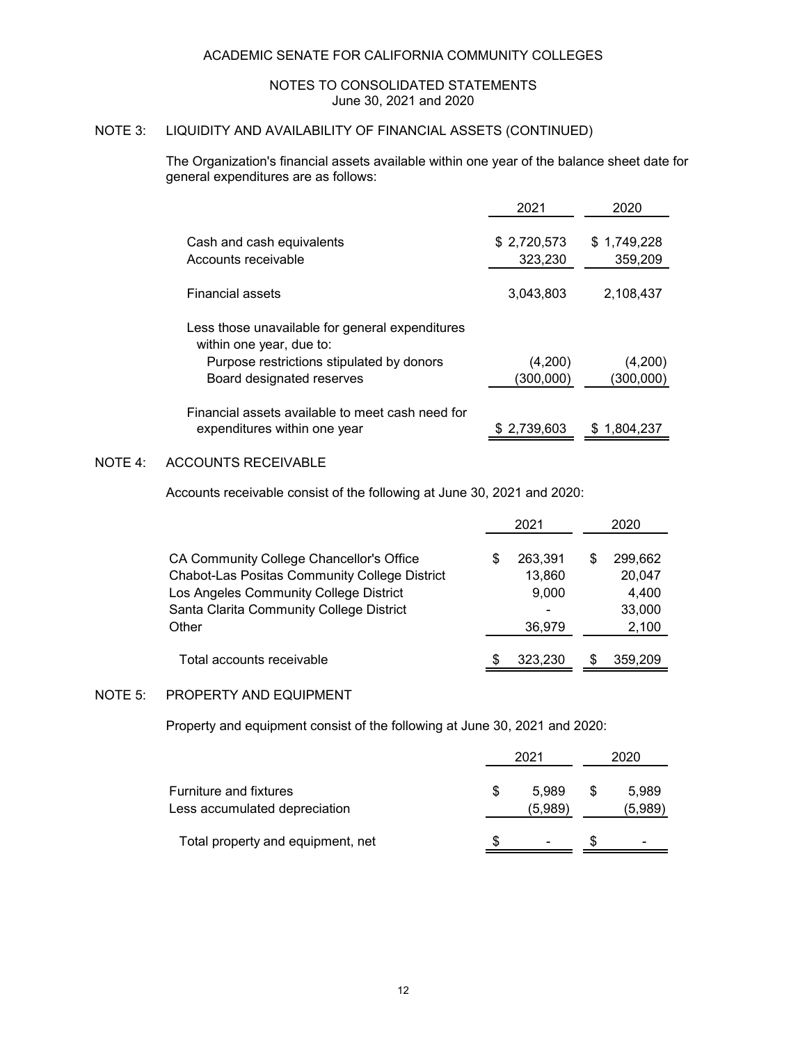## NOTES TO CONSOLIDATED STATEMENTS June 30, 2021 and 2020

# NOTE 3: LIQUIDITY AND AVAILABILITY OF FINANCIAL ASSETS (CONTINUED)

 The Organization's financial assets available within one year of the balance sheet date for general expenditures are as follows:

|                                                                                  | 2021                   | 2020                   |
|----------------------------------------------------------------------------------|------------------------|------------------------|
| Cash and cash equivalents<br>Accounts receivable                                 | \$2,720,573<br>323,230 | \$1,749,228<br>359,209 |
| <b>Financial assets</b>                                                          | 3,043,803              | 2,108,437              |
| Less those unavailable for general expenditures<br>within one year, due to:      |                        |                        |
| Purpose restrictions stipulated by donors<br>Board designated reserves           | (4,200)<br>(300,000)   | (4,200)<br>(300,000)   |
| Financial assets available to meet cash need for<br>expenditures within one year | \$2,739,603            | 1,804,237<br>S.        |

#### NOTE 4: ACCOUNTS RECEIVABLE

Accounts receivable consist of the following at June 30, 2021 and 2020:

|                                               |   | 2021    |   | 2020    |
|-----------------------------------------------|---|---------|---|---------|
| CA Community College Chancellor's Office      | S | 263.391 | S | 299.662 |
| Chabot-Las Positas Community College District |   | 13,860  |   | 20,047  |
| Los Angeles Community College District        |   | 9,000   |   | 4,400   |
| Santa Clarita Community College District      |   |         |   | 33,000  |
| Other                                         |   | 36,979  |   | 2,100   |
| Total accounts receivable                     | S | 323.230 |   | 359.209 |

# NOTE 5: PROPERTY AND EQUIPMENT

Property and equipment consist of the following at June 30, 2021 and 2020:

|                                                         |   | 2021             |     | 2020             |
|---------------------------------------------------------|---|------------------|-----|------------------|
| Furniture and fixtures<br>Less accumulated depreciation | S | 5.989<br>(5,989) | \$. | 5.989<br>(5,989) |
| Total property and equipment, net                       |   | $\blacksquare$   |     | -                |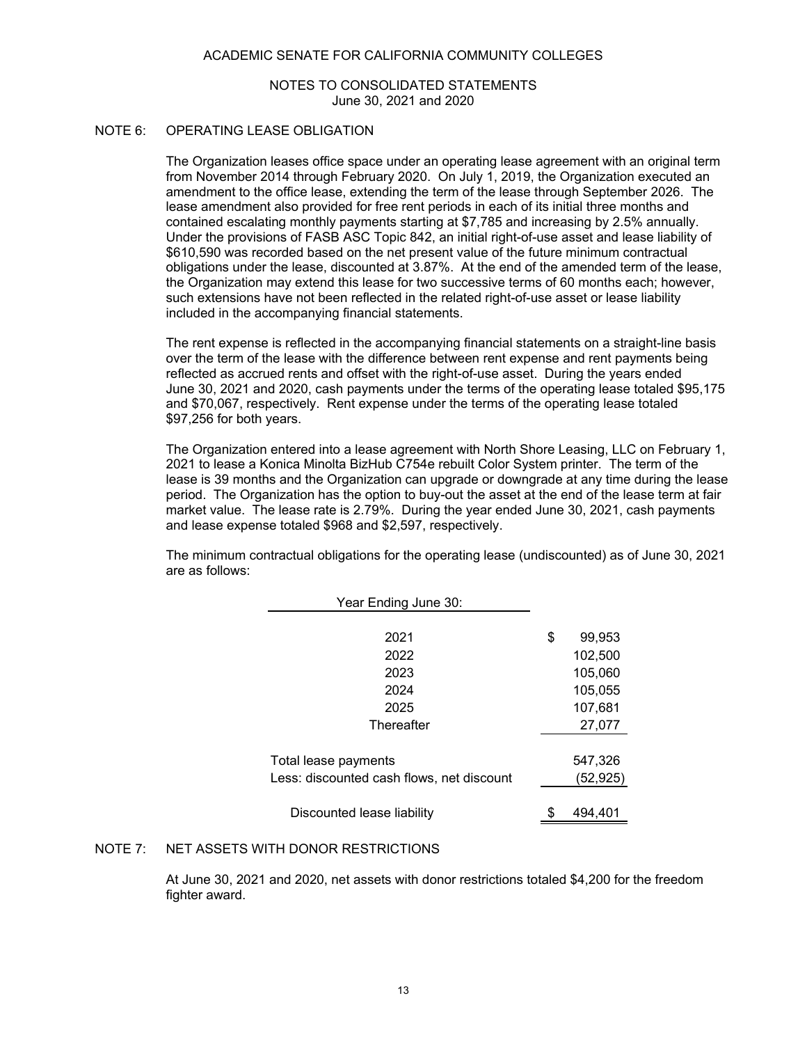NOTES TO CONSOLIDATED STATEMENTS June 30, 2021 and 2020

# NOTE 6: OPERATING LEASE OBLIGATION

The Organization leases office space under an operating lease agreement with an original term from November 2014 through February 2020. On July 1, 2019, the Organization executed an amendment to the office lease, extending the term of the lease through September 2026. The lease amendment also provided for free rent periods in each of its initial three months and contained escalating monthly payments starting at \$7,785 and increasing by 2.5% annually. Under the provisions of FASB ASC Topic 842, an initial right-of-use asset and lease liability of \$610,590 was recorded based on the net present value of the future minimum contractual obligations under the lease, discounted at 3.87%. At the end of the amended term of the lease, the Organization may extend this lease for two successive terms of 60 months each; however, such extensions have not been reflected in the related right-of-use asset or lease liability included in the accompanying financial statements.

The rent expense is reflected in the accompanying financial statements on a straight-line basis over the term of the lease with the difference between rent expense and rent payments being reflected as accrued rents and offset with the right-of-use asset. During the years ended June 30, 2021 and 2020, cash payments under the terms of the operating lease totaled \$95,175 and \$70,067, respectively. Rent expense under the terms of the operating lease totaled \$97,256 for both years.

The Organization entered into a lease agreement with North Shore Leasing, LLC on February 1, 2021 to lease a Konica Minolta BizHub C754e rebuilt Color System printer. The term of the lease is 39 months and the Organization can upgrade or downgrade at any time during the lease period. The Organization has the option to buy-out the asset at the end of the lease term at fair market value. The lease rate is 2.79%. During the year ended June 30, 2021, cash payments and lease expense totaled \$968 and \$2,597, respectively.

The minimum contractual obligations for the operating lease (undiscounted) as of June 30, 2021 are as follows:

| Year Ending June 30:                                              |                     |
|-------------------------------------------------------------------|---------------------|
| 2021                                                              | \$<br>99,953        |
| 2022                                                              | 102,500             |
| 2023                                                              | 105,060             |
| 2024                                                              | 105,055             |
| 2025                                                              | 107,681             |
| Thereafter                                                        | 27,077              |
| Total lease payments<br>Less: discounted cash flows, net discount | 547,326<br>(52,925) |
| Discounted lease liability                                        | 494.401             |

# NOTE 7: NET ASSETS WITH DONOR RESTRICTIONS

At June 30, 2021 and 2020, net assets with donor restrictions totaled \$4,200 for the freedom fighter award.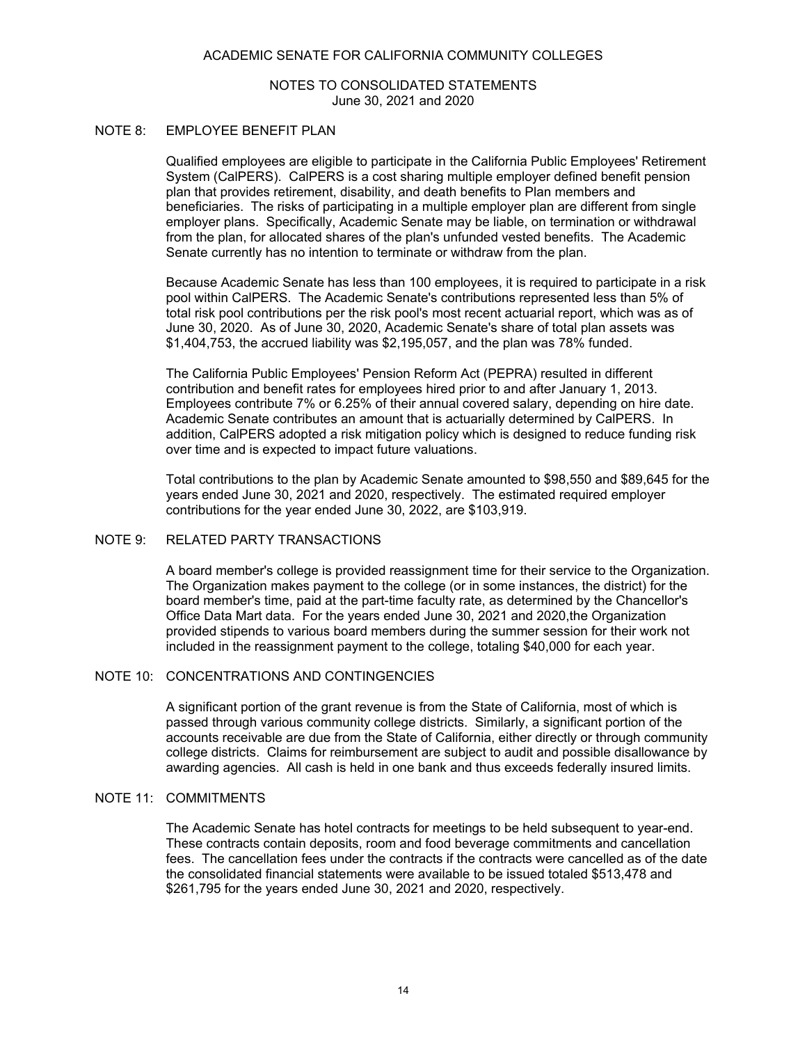## NOTE 8: EMPLOYEE BENEFIT PLAN

Qualified employees are eligible to participate in the California Public Employees' Retirement System (CalPERS). CalPERS is a cost sharing multiple employer defined benefit pension plan that provides retirement, disability, and death benefits to Plan members and beneficiaries. The risks of participating in a multiple employer plan are different from single employer plans. Specifically, Academic Senate may be liable, on termination or withdrawal from the plan, for allocated shares of the plan's unfunded vested benefits. The Academic Senate currently has no intention to terminate or withdraw from the plan.

Because Academic Senate has less than 100 employees, it is required to participate in a risk pool within CalPERS. The Academic Senate's contributions represented less than 5% of total risk pool contributions per the risk pool's most recent actuarial report, which was as of June 30, 2020. As of June 30, 2020, Academic Senate's share of total plan assets was \$1,404,753, the accrued liability was \$2,195,057, and the plan was 78% funded.

The California Public Employees' Pension Reform Act (PEPRA) resulted in different contribution and benefit rates for employees hired prior to and after January 1, 2013. Employees contribute 7% or 6.25% of their annual covered salary, depending on hire date. Academic Senate contributes an amount that is actuarially determined by CalPERS. In addition, CalPERS adopted a risk mitigation policy which is designed to reduce funding risk over time and is expected to impact future valuations.

Total contributions to the plan by Academic Senate amounted to \$98,550 and \$89,645 for the years ended June 30, 2021 and 2020, respectively. The estimated required employer contributions for the year ended June 30, 2022, are \$103,919.

## NOTE 9: RELATED PARTY TRANSACTIONS

A board member's college is provided reassignment time for their service to the Organization. The Organization makes payment to the college (or in some instances, the district) for the board member's time, paid at the part-time faculty rate, as determined by the Chancellor's Office Data Mart data. For the years ended June 30, 2021 and 2020,the Organization provided stipends to various board members during the summer session for their work not included in the reassignment payment to the college, totaling \$40,000 for each year.

## NOTE 10: CONCENTRATIONS AND CONTINGENCIES

A significant portion of the grant revenue is from the State of California, most of which is passed through various community college districts. Similarly, a significant portion of the accounts receivable are due from the State of California, either directly or through community college districts. Claims for reimbursement are subject to audit and possible disallowance by awarding agencies. All cash is held in one bank and thus exceeds federally insured limits.

#### NOTE 11: COMMITMENTS

The Academic Senate has hotel contracts for meetings to be held subsequent to year-end. These contracts contain deposits, room and food beverage commitments and cancellation fees. The cancellation fees under the contracts if the contracts were cancelled as of the date the consolidated financial statements were available to be issued totaled \$513,478 and \$261,795 for the years ended June 30, 2021 and 2020, respectively.